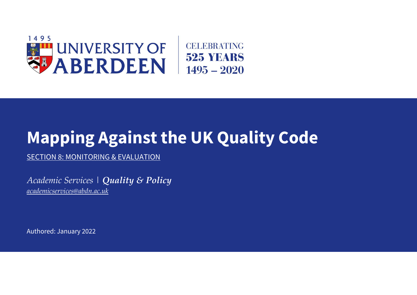

## **Mapping Against the UK Quality Code**

SECTION 8: MONITORING & EVALUATION

*Academic Services | Quality & Policy [academicservices@abdn.ac.uk](mailto:academicservices@abdn.ac.uk)*

Authored: January 2022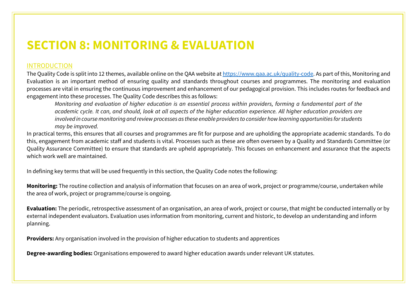## **SECTION 8: MONITORING & EVALUATION**

## INTRODUCTION

The Quality Code is split into 12 themes, available online on the QAA website at [https://www.qaa.ac.uk/quality-code.](https://www.qaa.ac.uk/quality-code) As part of this, Monitoring and Evaluation is an important method of ensuring quality and standards throughout courses and programmes. The monitoring and evaluation processes are vital in ensuring the continuous improvement and enhancement of our pedagogical provision. This includes routes for feedback and engagement into these processes. The Quality Code describes this as follows:

*Monitoring and evaluation of higher education is an essential process within providers, forming a fundamental part of the academic cycle. It can, and should, look at all aspects of the higher education experience. All higher education providers are involved in course monitoring and review processes as these enable providers to consider how learning opportunities for students may be improved.*

In practical terms, this ensures that all courses and programmes are fit for purpose and are upholding the appropriate academic standards. To do this, engagement from academic staff and students is vital. Processes such as these are often overseen by a Quality and Standards Committee (or Quality Assurance Committee) to ensure that standards are upheld appropriately. This focuses on enhancement and assurance that the aspects which work well are maintained.

In defining key terms that will be used frequently in this section, the Quality Code notes the following:

**Monitoring:** The routine collection and analysis of information that focuses on an area of work, project or programme/course, undertaken while the area of work, project or programme/course is ongoing.

**Evaluation:** The periodic, retrospective assessment of an organisation, an area of work, project or course, that might be conducted internally or by external independent evaluators. Evaluation uses information from monitoring, current and historic, to develop an understanding and inform planning.

**Providers:** Any organisation involved in the provision of higher education to students and apprentices

**Degree-awarding bodies:** Organisations empowered to award higher education awards under relevant UK statutes.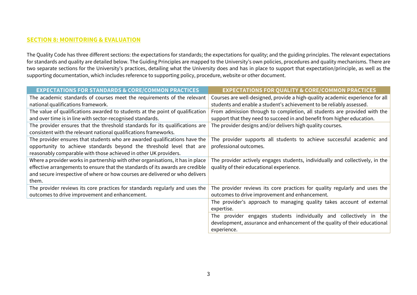## **SECTION 8: MONITORING & EVALUATION**

The Quality Code has three different sections: the expectations for standards; the expectations for quality; and the guiding principles. The relevant expectations for standards and quality are detailed below. The Guiding Principles are mapped to the University's own policies, procedures and quality mechanisms. There are two separate sections for the University's practices, detailing what the University does and has in place to support that expectation/principle, as well as the supporting documentation, which includes reference to supporting policy, procedure, website or other document.

| <b>EXPECTATIONS FOR STANDARDS &amp; CORE/COMMON PRACTICES</b>                                                                                                                                                                                               | <b>EXPECTATIONS FOR QUALITY &amp; CORE/COMMON PRACTICES</b>                                                                  |
|-------------------------------------------------------------------------------------------------------------------------------------------------------------------------------------------------------------------------------------------------------------|------------------------------------------------------------------------------------------------------------------------------|
| The academic standards of courses meet the requirements of the relevant                                                                                                                                                                                     | Courses are well-designed, provide a high-quality academic experience for all                                                |
| national qualifications framework.                                                                                                                                                                                                                          | students and enable a student's achievement to be reliably assessed.                                                         |
| The value of qualifications awarded to students at the point of qualification                                                                                                                                                                               | From admission through to completion, all students are provided with the                                                     |
| and over time is in line with sector-recognised standards.                                                                                                                                                                                                  | support that they need to succeed in and benefit from higher education.                                                      |
| The provider ensures that the threshold standards for its qualifications are<br>consistent with the relevant national qualifications frameworks.                                                                                                            | The provider designs and/or delivers high quality courses.                                                                   |
| The provider ensures that students who are awarded qualifications have the<br>opportunity to achieve standards beyond the threshold level that are<br>reasonably comparable with those achieved in other UK providers.                                      | The provider supports all students to achieve successful academic and<br>professional outcomes.                              |
| Where a provider works in partnership with other organisations, it has in place<br>effective arrangements to ensure that the standards of its awards are credible<br>and secure irrespective of where or how courses are delivered or who delivers<br>them. | The provider actively engages students, individually and collectively, in the<br>quality of their educational experience.    |
| The provider reviews its core practices for standards regularly and uses the<br>outcomes to drive improvement and enhancement.                                                                                                                              | The provider reviews its core practices for quality regularly and uses the<br>outcomes to drive improvement and enhancement. |
|                                                                                                                                                                                                                                                             | The provider's approach to managing quality takes account of external<br>expertise.                                          |
|                                                                                                                                                                                                                                                             | The provider engages students individually and collectively in the                                                           |
|                                                                                                                                                                                                                                                             | development, assurance and enhancement of the quality of their educational                                                   |
|                                                                                                                                                                                                                                                             | experience.                                                                                                                  |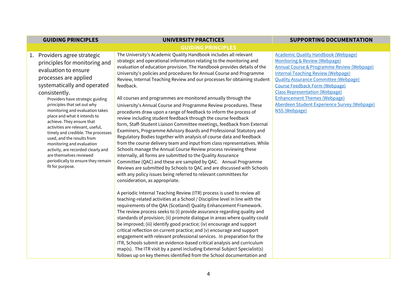| <b>GUIDING PRINCIPLES</b>                                                                                                                                                                                                                                                                                                                                                                                                                                                                                                                                                                         | <b>UNIVERSITY PRACTICES</b>                                                                                                                                                                                                                                                                                                                                                                                                                                                                                                                                                                                                                                                                                                                                                                                                                                                                                                                                                                                                                                                                                                                                                                                                                                                                                                                                                                                                                                                                                                                                                                                                                                                                                                                                                                                                                                                                                                                                                                                                                                                                                                                                                                                      | <b>SUPPORTING DOCUMENTATION</b>                                                                                                                                                                                                                                                                                                                                                                                                        |
|---------------------------------------------------------------------------------------------------------------------------------------------------------------------------------------------------------------------------------------------------------------------------------------------------------------------------------------------------------------------------------------------------------------------------------------------------------------------------------------------------------------------------------------------------------------------------------------------------|------------------------------------------------------------------------------------------------------------------------------------------------------------------------------------------------------------------------------------------------------------------------------------------------------------------------------------------------------------------------------------------------------------------------------------------------------------------------------------------------------------------------------------------------------------------------------------------------------------------------------------------------------------------------------------------------------------------------------------------------------------------------------------------------------------------------------------------------------------------------------------------------------------------------------------------------------------------------------------------------------------------------------------------------------------------------------------------------------------------------------------------------------------------------------------------------------------------------------------------------------------------------------------------------------------------------------------------------------------------------------------------------------------------------------------------------------------------------------------------------------------------------------------------------------------------------------------------------------------------------------------------------------------------------------------------------------------------------------------------------------------------------------------------------------------------------------------------------------------------------------------------------------------------------------------------------------------------------------------------------------------------------------------------------------------------------------------------------------------------------------------------------------------------------------------------------------------------|----------------------------------------------------------------------------------------------------------------------------------------------------------------------------------------------------------------------------------------------------------------------------------------------------------------------------------------------------------------------------------------------------------------------------------------|
|                                                                                                                                                                                                                                                                                                                                                                                                                                                                                                                                                                                                   | <b>GUIDING PRINCIPLES</b>                                                                                                                                                                                                                                                                                                                                                                                                                                                                                                                                                                                                                                                                                                                                                                                                                                                                                                                                                                                                                                                                                                                                                                                                                                                                                                                                                                                                                                                                                                                                                                                                                                                                                                                                                                                                                                                                                                                                                                                                                                                                                                                                                                                        |                                                                                                                                                                                                                                                                                                                                                                                                                                        |
| 1. Providers agree strategic<br>principles for monitoring and<br>evaluation to ensure<br>processes are applied<br>systematically and operated<br>consistently.<br>Providers have strategic guiding<br>principles that set out why<br>monitoring and evaluation takes<br>place and what it intends to<br>achieve. They ensure that<br>activities are relevant, useful,<br>timely and credible. The processes<br>used, and the results from<br>monitoring and evaluation<br>activity, are recorded clearly and<br>are themselves reviewed<br>periodically to ensure they remain<br>fit for purpose. | The University's Academic Quality Handbook includes all relevant<br>strategic and operational information relating to the monitoring and<br>evaluation of education provision. The Handbook provides details of the<br>University's policies and procedures for Annual Course and Programme<br>Review, Internal Teaching Review and our processes for obtaining student<br>feedback.<br>All courses and programmes are monitored annually through the<br>University's Annual Course and Programme Review procedures. These<br>procedures draw upon a range of feedback to inform the process of<br>review including student feedback through the course feedback<br>form, Staff-Student Liaison Committee meetings, feedback from External<br>Examiners, Programme Advisory Boards and Professional Statutory and<br>Regulatory Bodies together with analysis of course data and feedback<br>from the course delivery team and input from class representatives. While<br>Schools manage the Annual Course Review process reviewing these<br>internally, all forms are submitted to the Quality Assurance<br>Committee (QAC) and these are sampled by QAC. Annual Programme<br>Reviews are submitted by Schools to QAC and are discussed with Schools<br>with any policy issues being referred to relevant committees for<br>consideration, as appropriate.<br>A periodic Internal Teaching Review (ITR) process is used to review all<br>teaching-related activities at a School / Discipline level in line with the<br>requirements of the QAA (Scotland) Quality Enhancement Framework.<br>The review process seeks to (i) provide assurance regarding quality and<br>standards of provision; (ii) promote dialogue in areas where quality could<br>be improved; (iii) identify good practice; (iv) encourage and support<br>critical reflection on current practice; and (v) encourage and support<br>engagement with relevant professional services. In preparation for the<br>ITR, Schools submit an evidence-based critical analysis and curriculum<br>map(s). The ITR visit by a panel including External Subject Specialist(s)<br>follows up on key themes identified from the School documentation and | <b>Academic Quality Handbook (Webpage)</b><br><b>Monitoring &amp; Review (Webpage)</b><br><b>Annual Course &amp; Programme Review (Webpage)</b><br><b>Internal Teaching Review (Webpage)</b><br><b>Ouality Assurance Committee (Webpage)</b><br><b>Course Feedback Form (Webpage)</b><br><b>Class Representation (Webpage)</b><br><b>Enhancement Themes (Webpage)</b><br>Aberdeen Student Experience Survey (Webpage)<br>NSS (Webpage) |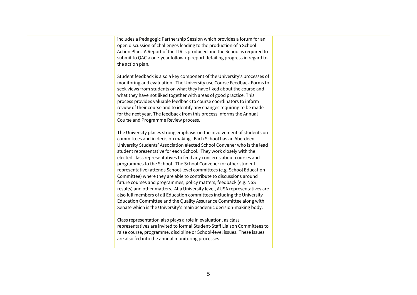includes a Pedagogic Partnership Session which provides a forum for an open discussion of challenges leading to the production of a School Action Plan. A Report of the ITR is produced and the School is required to submit to QAC a one-year follow-up report detailing progress in regard to the action plan. Student feedback is also a key component of the University's processes of monitoring and evaluation. The University use Course Feedback Forms to seek views from students on what they have liked about the course and what they have not liked together with areas of good practice. This process provides valuable feedback to course coordinators to inform review of their course and to identify any changes requiring to be made for the next year. The feedback from this process informs the Annual Course and Programme Review process. The University places strong emphasis on the involvement of students on committees and in decision making. Each School has an Aberdeen University Students' Association elected School Convener who is the lead student representative for each School. They work closely with the elected class representatives to feed any concerns about courses and programmes to the School. The School Convener (or other student representative) attends School-level committees (e.g. School Education Committee) where they are able to contribute to discussions around future courses and programmes, policy matters, feedback (e.g. NSS results) and other matters. At a University level, AUSA representatives are also full members of all Education committees including the University Education Committee and the Quality Assurance Committee along with Senate which is the University's main academic decision-making body. Class representation also plays a role in evaluation, as class representatives are invited to formal Student-Staff Liaison Committees to raise course, programme, discipline or School-level issues. These issues are also fed into the annual monitoring processes.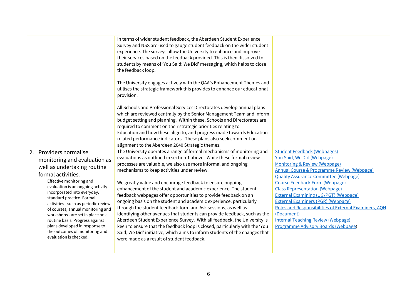|                                                                                                                                                                                                                                                                                                                                                                                                                                                                                             | In terms of wider student feedback, the Aberdeen Student Experience<br>Survey and NSS are used to gauge student feedback on the wider student<br>experience. The surveys allow the University to enhance and improve<br>their services based on the feedback provided. This is then dissolved to<br>students by means of 'You Said: We Did' messaging, which helps to close<br>the feedback loop.<br>The University engages actively with the QAA's Enhancement Themes and<br>utilises the strategic framework this provides to enhance our educational<br>provision.<br>All Schools and Professional Services Directorates develop annual plans<br>which are reviewed centrally by the Senior Management Team and inform<br>budget setting and planning. Within these, Schools and Directorates are<br>required to comment on their strategic priorities relating to<br>Education and how these align to, and progress made towards Education-<br>related performance indicators. These plans also seek comment on                 |                                                                                                                                                                                                                                                                                                                                                                                                                                                                                                                                                                 |
|---------------------------------------------------------------------------------------------------------------------------------------------------------------------------------------------------------------------------------------------------------------------------------------------------------------------------------------------------------------------------------------------------------------------------------------------------------------------------------------------|-------------------------------------------------------------------------------------------------------------------------------------------------------------------------------------------------------------------------------------------------------------------------------------------------------------------------------------------------------------------------------------------------------------------------------------------------------------------------------------------------------------------------------------------------------------------------------------------------------------------------------------------------------------------------------------------------------------------------------------------------------------------------------------------------------------------------------------------------------------------------------------------------------------------------------------------------------------------------------------------------------------------------------------|-----------------------------------------------------------------------------------------------------------------------------------------------------------------------------------------------------------------------------------------------------------------------------------------------------------------------------------------------------------------------------------------------------------------------------------------------------------------------------------------------------------------------------------------------------------------|
| 2. Providers normalise<br>monitoring and evaluation as<br>well as undertaking routine<br>formal activities.<br>Effective monitoring and<br>evaluation is an ongoing activity<br>incorporated into everyday,<br>standard practice. Formal<br>activities - such as periodic review<br>of courses, annual monitoring and<br>workshops - are set in place on a<br>routine basis. Progress against<br>plans developed in response to<br>the outcomes of monitoring and<br>evaluation is checked. | alignment to the Aberdeen 2040 Strategic themes.<br>The University operates a range of formal mechanisms of monitoring and<br>evaluations as outlined in section 1 above. While these formal review<br>processes are valuable, we also use more informal and ongoing<br>mechanisms to keep activities under review.<br>We greatly value and encourage feedback to ensure ongoing<br>enhancement of the student and academic experience. The student<br>feedback webpages offer opportunities to provide feedback on an<br>ongoing basis on the student and academic experience, particularly<br>through the student feedback form and Ask sessions, as well as<br>identifying other avenues that students can provide feedback, such as the<br>Aberdeen Student Experience Survey. With all feedback, the University is<br>keen to ensure that the feedback loop is closed, particularly with the 'You<br>Said, We Did' initiative, which aims to inform students of the changes that<br>were made as a result of student feedback. | <b>Student Feedback (Webpages)</b><br>You Said, We Did (Webpage)<br><b>Monitoring &amp; Review (Webpage)</b><br><b>Annual Course &amp; Programme Review (Webpage)</b><br><b>Quality Assurance Committee (Webpage)</b><br><b>Course Feedback Form (Webpage)</b><br><b>Class Representation (Webpage)</b><br><b>External Examining (UG/PGT) (Webpage)</b><br><b>External Examiners (PGR) (Webpage)</b><br>Roles and Responsibilities of External Examiners, AQH<br>(Document)<br><b>Internal Teaching Review (Webpage)</b><br>Programme Advisory Boards (Webpage) |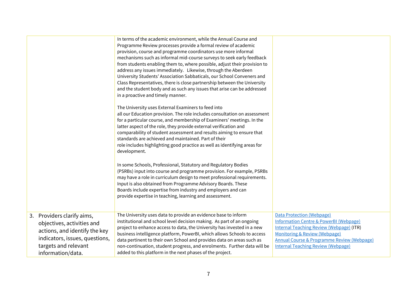|                                                                                                                                                                          | In terms of the academic environment, while the Annual Course and<br>Programme Review processes provide a formal review of academic<br>provision, course and programme coordinators use more informal<br>mechanisms such as informal mid-course surveys to seek early feedback<br>from students enabling them to, where possible, adjust their provision to<br>address any issues immediately. Likewise, through the Aberdeen<br>University Students' Association Sabbaticals, our School Conveners and<br>Class Representatives, there is close partnership between the University<br>and the student body and as such any issues that arise can be addressed<br>in a proactive and timely manner.<br>The University uses External Examiners to feed into<br>all our Education provision. The role includes consultation on assessment<br>for a particular course, and membership of Examiners' meetings. In the<br>latter aspect of the role, they provide external verification and<br>comparability of student assessment and results aiming to ensure that<br>standards are achieved and maintained. Part of their<br>role includes highlighting good practice as well as identifying areas for<br>development.<br>In some Schools, Professional, Statutory and Regulatory Bodies<br>(PSRBs) input into course and programme provision. For example, PSRBs<br>may have a role in curriculum design to meet professional requirements.<br>Input is also obtained from Programme Advisory Boards. These<br>Boards include expertise from industry and employers and can<br>provide expertise in teaching, learning and assessment. |                                                                                                                                                                                                                                                                                            |
|--------------------------------------------------------------------------------------------------------------------------------------------------------------------------|---------------------------------------------------------------------------------------------------------------------------------------------------------------------------------------------------------------------------------------------------------------------------------------------------------------------------------------------------------------------------------------------------------------------------------------------------------------------------------------------------------------------------------------------------------------------------------------------------------------------------------------------------------------------------------------------------------------------------------------------------------------------------------------------------------------------------------------------------------------------------------------------------------------------------------------------------------------------------------------------------------------------------------------------------------------------------------------------------------------------------------------------------------------------------------------------------------------------------------------------------------------------------------------------------------------------------------------------------------------------------------------------------------------------------------------------------------------------------------------------------------------------------------------------------------------------------------------------------------------------------------------|--------------------------------------------------------------------------------------------------------------------------------------------------------------------------------------------------------------------------------------------------------------------------------------------|
| 3. Providers clarify aims,<br>objectives, activities and<br>actions, and identify the key<br>indicators, issues, questions,<br>targets and relevant<br>information/data. | The University uses data to provide an evidence base to inform<br>institutional and school level decision making. As part of an ongoing<br>project to enhance access to data, the University has invested in a new<br>business intelligence platform, PowerBI, which allows Schools to access<br>data pertinent to their own School and provides data on areas such as<br>non-continuation, student progress, and enrolments. Further data will be<br>added to this platform in the next phases of the project.                                                                                                                                                                                                                                                                                                                                                                                                                                                                                                                                                                                                                                                                                                                                                                                                                                                                                                                                                                                                                                                                                                                       | <b>Data Protection (Webpage)</b><br><b>Information Centre &amp; PowerBI (Webpage)</b><br><b>Internal Teaching Review (Webpage) (ITR)</b><br><b>Monitoring &amp; Review (Webpage)</b><br><b>Annual Course &amp; Programme Review (Webpage)</b><br><b>Internal Teaching Review (Webpage)</b> |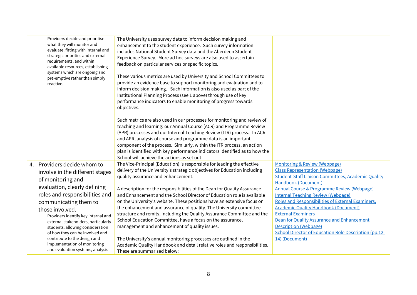| Providers decide and prioritise<br>what they will monitor and<br>evaluate, fitting with internal and<br>strategic priorities and external<br>requirements, and within<br>available resources, establishing<br>systems which are ongoing and<br>pre-emptive rather than simply<br>reactive. | The University uses survey data to inform decision making and<br>enhancement to the student experience. Such survey information<br>includes National Student Survey data and the Aberdeen Student<br>Experience Survey. More ad hoc surveys are also used to ascertain<br>feedback on particular services or specific topics.<br>These various metrics are used by University and School Committees to<br>provide an evidence base to support monitoring and evaluation and to<br>inform decision making. Such information is also used as part of the<br>Institutional Planning Process (see 1 above) through use of key<br>performance indicators to enable monitoring of progress towards<br>objectives.<br>Such metrics are also used in our processes for monitoring and review of<br>teaching and learning: our Annual Course (ACR) and Programme Review<br>(APR) processes and our Internal Teaching Review (ITR) process. In ACR<br>and APR, analysis of course and programme data is an important<br>component of the process. Similarly, within the ITR process, an action<br>plan is identified with key performance indicators identified as to how the<br>School will achieve the actions as set out. |                                                                                       |
|--------------------------------------------------------------------------------------------------------------------------------------------------------------------------------------------------------------------------------------------------------------------------------------------|--------------------------------------------------------------------------------------------------------------------------------------------------------------------------------------------------------------------------------------------------------------------------------------------------------------------------------------------------------------------------------------------------------------------------------------------------------------------------------------------------------------------------------------------------------------------------------------------------------------------------------------------------------------------------------------------------------------------------------------------------------------------------------------------------------------------------------------------------------------------------------------------------------------------------------------------------------------------------------------------------------------------------------------------------------------------------------------------------------------------------------------------------------------------------------------------------------------------|---------------------------------------------------------------------------------------|
| 4. Providers decide whom to                                                                                                                                                                                                                                                                | The Vice-Principal (Education) is responsible for leading the effective                                                                                                                                                                                                                                                                                                                                                                                                                                                                                                                                                                                                                                                                                                                                                                                                                                                                                                                                                                                                                                                                                                                                            | <b>Monitoring &amp; Review (Webpage)</b>                                              |
| involve in the different stages                                                                                                                                                                                                                                                            | delivery of the University's strategic objectives for Education including                                                                                                                                                                                                                                                                                                                                                                                                                                                                                                                                                                                                                                                                                                                                                                                                                                                                                                                                                                                                                                                                                                                                          | <b>Class Representation (Webpage)</b>                                                 |
| of monitoring and                                                                                                                                                                                                                                                                          | quality assurance and enhancement.                                                                                                                                                                                                                                                                                                                                                                                                                                                                                                                                                                                                                                                                                                                                                                                                                                                                                                                                                                                                                                                                                                                                                                                 | <b>Student-Staff Liaison Committees, Academic Quality</b>                             |
|                                                                                                                                                                                                                                                                                            |                                                                                                                                                                                                                                                                                                                                                                                                                                                                                                                                                                                                                                                                                                                                                                                                                                                                                                                                                                                                                                                                                                                                                                                                                    | Handbook (Document)                                                                   |
| evaluation, clearly defining                                                                                                                                                                                                                                                               | A description for the responsibilities of the Dean for Quality Assurance                                                                                                                                                                                                                                                                                                                                                                                                                                                                                                                                                                                                                                                                                                                                                                                                                                                                                                                                                                                                                                                                                                                                           | Annual Course & Programme Review (Webpage)                                            |
| roles and responsibilities and                                                                                                                                                                                                                                                             | and Enhancement and the School Director of Education role is available                                                                                                                                                                                                                                                                                                                                                                                                                                                                                                                                                                                                                                                                                                                                                                                                                                                                                                                                                                                                                                                                                                                                             | <b>Internal Teaching Review (Webpage)</b>                                             |
| communicating them to                                                                                                                                                                                                                                                                      | on the University's website. These positions have an extensive focus on                                                                                                                                                                                                                                                                                                                                                                                                                                                                                                                                                                                                                                                                                                                                                                                                                                                                                                                                                                                                                                                                                                                                            | Roles and Responsibilities of External Examiners,                                     |
| those involved.                                                                                                                                                                                                                                                                            | the enhancement and assurance of quality. The University committee                                                                                                                                                                                                                                                                                                                                                                                                                                                                                                                                                                                                                                                                                                                                                                                                                                                                                                                                                                                                                                                                                                                                                 | <b>Academic Quality Handbook (Document)</b>                                           |
| Providers identify key internal and                                                                                                                                                                                                                                                        | structure and remits, including the Quality Assurance Committee and the                                                                                                                                                                                                                                                                                                                                                                                                                                                                                                                                                                                                                                                                                                                                                                                                                                                                                                                                                                                                                                                                                                                                            | <b>External Examiners</b>                                                             |
| external stakeholders, particularly                                                                                                                                                                                                                                                        | School Education Committee, have a focus on the assurance,                                                                                                                                                                                                                                                                                                                                                                                                                                                                                                                                                                                                                                                                                                                                                                                                                                                                                                                                                                                                                                                                                                                                                         | Dean for Quality Assurance and Enhancement                                            |
| students, allowing consideration                                                                                                                                                                                                                                                           | management and enhancement of quality issues.                                                                                                                                                                                                                                                                                                                                                                                                                                                                                                                                                                                                                                                                                                                                                                                                                                                                                                                                                                                                                                                                                                                                                                      | <b>Description (Webpage)</b><br>School Director of Education Role Description (pp.12- |
| of how they can be involved and<br>contribute to the design and                                                                                                                                                                                                                            | The University's annual monitoring processes are outlined in the                                                                                                                                                                                                                                                                                                                                                                                                                                                                                                                                                                                                                                                                                                                                                                                                                                                                                                                                                                                                                                                                                                                                                   | 14) (Document)                                                                        |
| implementation of monitoring                                                                                                                                                                                                                                                               | Academic Quality Handbook and detail relative roles and responsibilities.                                                                                                                                                                                                                                                                                                                                                                                                                                                                                                                                                                                                                                                                                                                                                                                                                                                                                                                                                                                                                                                                                                                                          |                                                                                       |
| and evaluation systems, analysis                                                                                                                                                                                                                                                           | These are summarised below:                                                                                                                                                                                                                                                                                                                                                                                                                                                                                                                                                                                                                                                                                                                                                                                                                                                                                                                                                                                                                                                                                                                                                                                        |                                                                                       |
|                                                                                                                                                                                                                                                                                            |                                                                                                                                                                                                                                                                                                                                                                                                                                                                                                                                                                                                                                                                                                                                                                                                                                                                                                                                                                                                                                                                                                                                                                                                                    |                                                                                       |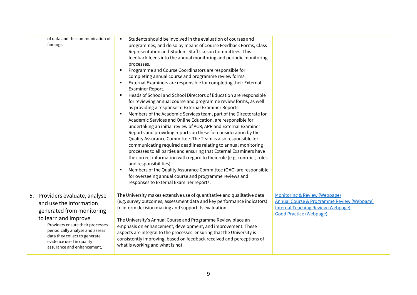| of data and the communication of<br>findings.                                                                                                                                                                                                                                     | Students should be involved in the evaluation of courses and<br>programmes, and do so by means of Course Feedback Forms, Class<br>Representation and Student-Staff Liaison Committees. This<br>feedback feeds into the annual monitoring and periodic monitoring<br>processes.<br>Programme and Course Coordinators are responsible for<br>completing annual course and programme review forms.<br>External Examiners are responsible for completing their External<br>Examiner Report.<br>Heads of School and School Directors of Education are responsible<br>٠<br>for reviewing annual course and programme review forms, as well<br>as providing a response to External Examiner Reports.<br>Members of the Academic Services team, part of the Directorate for<br>Academic Services and Online Education, are responsible for<br>undertaking an initial review of ACR, APR and External Examiner<br>Reports and providing reports on these for consideration by the<br>Quality Assurance Committee. The Team is also responsible for<br>communicating required deadlines relating to annual monitoring<br>processes to all parties and ensuring that External Examiners have<br>the correct information with regard to their role (e.g. contract, roles<br>and responsibilities).<br>Members of the Quality Assurance Committee (QAC) are responsible<br>for overseeing annual course and programme reviews and<br>responses to External Examiner reports. |                                                                                                                                                                       |
|-----------------------------------------------------------------------------------------------------------------------------------------------------------------------------------------------------------------------------------------------------------------------------------|-----------------------------------------------------------------------------------------------------------------------------------------------------------------------------------------------------------------------------------------------------------------------------------------------------------------------------------------------------------------------------------------------------------------------------------------------------------------------------------------------------------------------------------------------------------------------------------------------------------------------------------------------------------------------------------------------------------------------------------------------------------------------------------------------------------------------------------------------------------------------------------------------------------------------------------------------------------------------------------------------------------------------------------------------------------------------------------------------------------------------------------------------------------------------------------------------------------------------------------------------------------------------------------------------------------------------------------------------------------------------------------------------------------------------------------------------------------------|-----------------------------------------------------------------------------------------------------------------------------------------------------------------------|
| 5. Providers evaluate, analyse<br>and use the information<br>generated from monitoring<br>to learn and improve.<br>Providers ensure their processes<br>periodically analyse and assess<br>data they collect to generate<br>evidence used in quality<br>assurance and enhancement, | The University makes extensive use of quantitative and qualitative data<br>(e.g. survey outcomes, assessment data and key performance indicators)<br>to inform decision making and support its evaluation.<br>The University's Annual Course and Programme Review place an<br>emphasis on enhancement, development, and improvement. These<br>aspects are integral to the processes, ensuring that the University is<br>consistently improving, based on feedback received and perceptions of<br>what is working and what is not.                                                                                                                                                                                                                                                                                                                                                                                                                                                                                                                                                                                                                                                                                                                                                                                                                                                                                                                               | Monitoring & Review (Webpage)<br><b>Annual Course &amp; Programme Review (Webpage)</b><br><b>Internal Teaching Review (Webpage)</b><br><b>Good Practice (Webpage)</b> |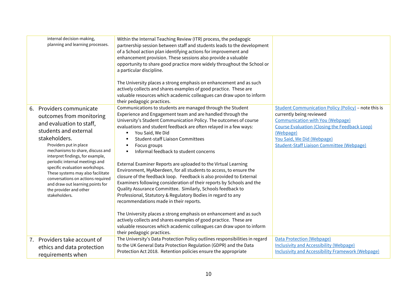| internal decision-making,<br>planning and learning processes.                                                                                                                                                                                                                                                                                                                                                                                                | Within the Internal Teaching Review (ITR) process, the pedagogic<br>partnership session between staff and students leads to the development<br>of a School action plan identifying actions for improvement and<br>enhancement provision. These sessions also provide a valuable<br>opportunity to share good practice more widely throughout the School or<br>a particular discipline.<br>The University places a strong emphasis on enhancement and as such<br>actively collects and shares examples of good practice. These are<br>valuable resources which academic colleagues can draw upon to inform<br>their pedagogic practices.                                                                                                                                                                                                                                                                                                                                                                                                                                                                           |                                                                                                                                                                                                                                                                                           |
|--------------------------------------------------------------------------------------------------------------------------------------------------------------------------------------------------------------------------------------------------------------------------------------------------------------------------------------------------------------------------------------------------------------------------------------------------------------|-------------------------------------------------------------------------------------------------------------------------------------------------------------------------------------------------------------------------------------------------------------------------------------------------------------------------------------------------------------------------------------------------------------------------------------------------------------------------------------------------------------------------------------------------------------------------------------------------------------------------------------------------------------------------------------------------------------------------------------------------------------------------------------------------------------------------------------------------------------------------------------------------------------------------------------------------------------------------------------------------------------------------------------------------------------------------------------------------------------------|-------------------------------------------------------------------------------------------------------------------------------------------------------------------------------------------------------------------------------------------------------------------------------------------|
| Providers communicate<br>6.<br>outcomes from monitoring<br>and evaluation to staff,<br>students and external<br>stakeholders.<br>Providers put in place<br>mechanisms to share, discuss and<br>interpret findings, for example,<br>periodic internal meetings and<br>specific evaluation workshops.<br>These systems may also facilitate<br>conversations on actions required<br>and draw out learning points for<br>the provider and other<br>stakeholders. | Communications to students are managed through the Student<br>Experience and Engagement team and are handled through the<br>University's Student Communication Policy. The outcomes of course<br>evaluations and student feedback are often relayed in a few ways:<br>You Said, We Did<br>٠<br><b>Student-staff Liaison Committees</b><br>Focus groups<br>Informal feedback to student concerns<br>External Examiner Reports are uploaded to the Virtual Learning<br>Environment, MyAberdeen, for all students to access, to ensure the<br>closure of the feedback loop. Feedback is also provided to External<br>Examiners following consideration of their reports by Schools and the<br>Quality Assurance Committee. Similarly, Schools feedback to<br>Professional, Statutory & Regulatory Bodies in regard to any<br>recommendations made in their reports.<br>The University places a strong emphasis on enhancement and as such<br>actively collects and shares examples of good practice. These are<br>valuable resources which academic colleagues can draw upon to inform<br>their pedagogic practices. | <b>Student Communication Policy (Policy) - note this is</b><br>currently being reviewed<br><b>Communication with You (Webpage)</b><br><b>Course Evaluation (Closing the Feedback Loop)</b><br>(Webpage)<br>You Said, We Did (Webpage)<br><b>Student-Staff Liaison Committee (Webpage)</b> |
| 7. Providers take account of<br>ethics and data protection<br>requirements when                                                                                                                                                                                                                                                                                                                                                                              | The University's Data Protection Policy outlines responsibilities in regard<br>to the UK General Data Protection Regulation (GDPR) and the Data<br>Protection Act 2018. Retention policies ensure the appropriate                                                                                                                                                                                                                                                                                                                                                                                                                                                                                                                                                                                                                                                                                                                                                                                                                                                                                                 | <b>Data Protection (Webpage)</b><br><b>Inclusivity and Accessibility (Webpage)</b><br><b>Inclusivity and Accessibility Framework (Webpage)</b>                                                                                                                                            |